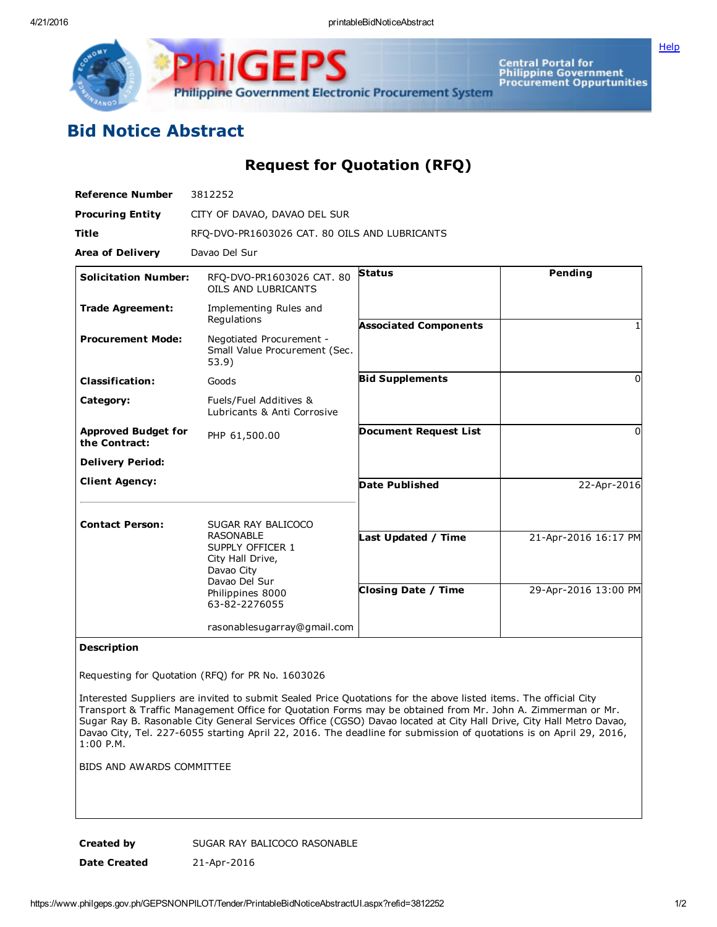Philippine Government Electronic Procurement System

Central Portal for<br>Philippine Government<br>Procurement Oppurtunities

## Bid Notice Abstract

Request for Quotation (RFQ)

| <b>Reference Number</b>                     | 3812252                                                                                 |                              |                      |
|---------------------------------------------|-----------------------------------------------------------------------------------------|------------------------------|----------------------|
| <b>Procuring Entity</b>                     | CITY OF DAVAO, DAVAO DEL SUR                                                            |                              |                      |
| <b>Title</b>                                | RFQ-DVO-PR1603026 CAT. 80 OILS AND LUBRICANTS                                           |                              |                      |
| <b>Area of Delivery</b>                     | Davao Del Sur                                                                           |                              |                      |
| <b>Solicitation Number:</b>                 | RFO-DVO-PR1603026 CAT. 80<br>OILS AND LUBRICANTS                                        | <b>Status</b>                | Pending              |
| <b>Trade Agreement:</b>                     | Implementing Rules and<br>Regulations                                                   | <b>Associated Components</b> |                      |
| <b>Procurement Mode:</b>                    | Negotiated Procurement -<br>Small Value Procurement (Sec.<br>53.9)                      |                              |                      |
| <b>Classification:</b>                      | Goods                                                                                   | <b>Bid Supplements</b>       | $\Omega$             |
| Category:                                   | Fuels/Fuel Additives &<br>Lubricants & Anti Corrosive                                   |                              |                      |
| <b>Approved Budget for</b><br>the Contract: | PHP 61,500.00                                                                           | <b>Document Request List</b> | $\Omega$             |
| <b>Delivery Period:</b>                     |                                                                                         |                              |                      |
| <b>Client Agency:</b>                       |                                                                                         | <b>Date Published</b>        | 22-Apr-2016          |
| <b>Contact Person:</b>                      | SUGAR RAY BALICOCO                                                                      |                              |                      |
|                                             | <b>RASONABLE</b><br>SUPPLY OFFICER 1<br>City Hall Drive,<br>Davao City<br>Davao Del Sur | ast Updated / Time           | 21-Apr-2016 16:17 PM |
|                                             | Philippines 8000<br>63-82-2276055                                                       | <b>Closing Date / Time</b>   | 29-Apr-2016 13:00 PM |
|                                             | rasonablesugarray@gmail.com                                                             |                              |                      |

## Description

Requesting for Quotation (RFQ) for PR No. 1603026

Interested Suppliers are invited to submit Sealed Price Quotations for the above listed items. The official City Transport & Traffic Management Office for Quotation Forms may be obtained from Mr. John A. Zimmerman or Mr. Sugar Ray B. Rasonable City General Services Office (CGSO) Davao located at City Hall Drive, City Hall Metro Davao, Davao City, Tel. 227-6055 starting April 22, 2016. The deadline for submission of quotations is on April 29, 2016, 1:00 P.M.

BIDS AND AWARDS COMMITTEE

Created by SUGAR RAY BALICOCO RASONABLE Date Created 21-Apr-2016